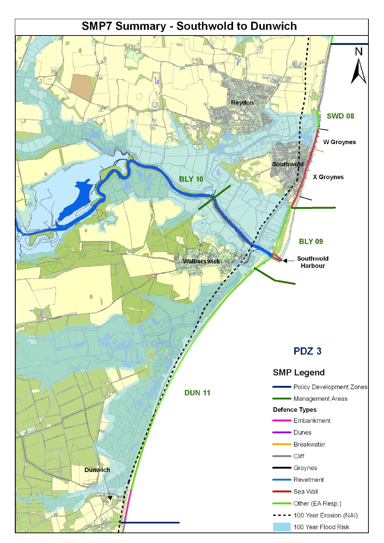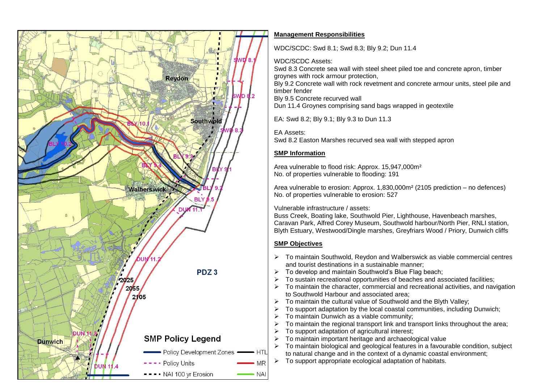

#### **Management Responsibilities**

WDC/SCDC: Swd 8.1; Swd 8.3; Bly 9.2; Dun 11.4

#### WDC/SCDC Assets:

Swd 8.3 Concrete sea wall with steel sheet piled toe and concrete apron, timber groynes with rock armour protection,

Bly 9.2 Concrete wall with rock revetment and concrete armour units, steel pile and timber fender

Bly 9.5 Concrete recurved wall

Dun 11.4 Groynes comprising sand bags wrapped in geotextile

EA: Swd 8.2; Bly 9.1; Bly 9.3 to Dun 11.3

EA Assets:

Swd 8.2 Easton Marshes recurved sea wall with stepped apron

### **SMP Information**

Area vulnerable to flood risk: Approx. 15,947,000m² No. of properties vulnerable to flooding: 191

Area vulnerable to erosion: Approx. 1,830,000m² (2105 prediction – no defences) No. of properties vulnerable to erosion: 527

Vulnerable infrastructure / assets:

Buss Creek, Boating lake, Southwold Pier, Lighthouse, Havenbeach marshes, Caravan Park, Alfred Corey Museum, Southwold harbour/North Pier, RNLI station, Blyth Estuary, Westwood/Dingle marshes, Greyfriars Wood / Priory, Dunwich cliffs

## **SMP Objectives**

- $\triangleright$  To maintain Southwold, Reydon and Walberswick as viable commercial centres and tourist destinations in a sustainable manner;
- To develop and maintain Southwold's Blue Flag beach;
- To sustain recreational opportunities of beaches and associated facilities;
- $\triangleright$  To maintain the character, commercial and recreational activities, and navigation to Southwold Harbour and associated area;
- $\triangleright$  To maintain the cultural value of Southwold and the Blyth Valley;
- $\triangleright$  To support adaptation by the local coastal communities, including Dunwich;
- $\triangleright$  To maintain Dunwich as a viable community:
- $\triangleright$  To maintain the regional transport link and transport links throughout the area;
- To support adaptation of agricultural interest;
- To maintain important heritage and archaeological value
- To maintain biological and geological features in a favourable condition, subject to natural change and in the context of a dynamic coastal environment;
- $\triangleright$  To support appropriate ecological adaptation of habitats.